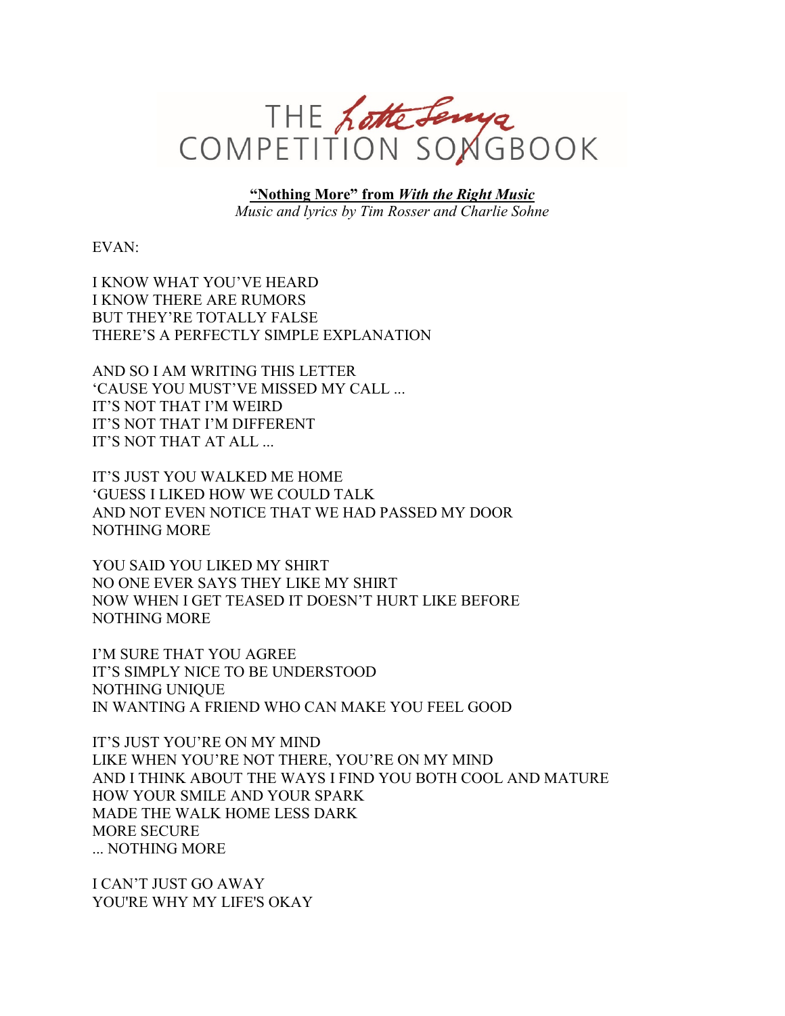

**"Nothing More" from** *With the Right Music Music and lyrics by Tim Rosser and Charlie Sohne*

EVAN:

I KNOW WHAT YOU'VE HEARD I KNOW THERE ARE RUMORS BUT THEY'RE TOTALLY FALSE THERE'S A PERFECTLY SIMPLE EXPLANATION

AND SO I AM WRITING THIS LETTER 'CAUSE YOU MUST'VE MISSED MY CALL ... IT'S NOT THAT I'M WEIRD IT'S NOT THAT I'M DIFFERENT IT'S NOT THAT AT ALL ...

IT'S JUST YOU WALKED ME HOME 'GUESS I LIKED HOW WE COULD TALK AND NOT EVEN NOTICE THAT WE HAD PASSED MY DOOR NOTHING MORE

YOU SAID YOU LIKED MY SHIRT NO ONE EVER SAYS THEY LIKE MY SHIRT NOW WHEN I GET TEASED IT DOESN'T HURT LIKE BEFORE NOTHING MORE

I'M SURE THAT YOU AGREE IT'S SIMPLY NICE TO BE UNDERSTOOD NOTHING UNIQUE IN WANTING A FRIEND WHO CAN MAKE YOU FEEL GOOD

IT'S JUST YOU'RE ON MY MIND LIKE WHEN YOU'RE NOT THERE, YOU'RE ON MY MIND AND I THINK ABOUT THE WAYS I FIND YOU BOTH COOL AND MATURE HOW YOUR SMILE AND YOUR SPARK MADE THE WALK HOME LESS DARK MORE SECURE ... NOTHING MORE

I CAN'T JUST GO AWAY YOU'RE WHY MY LIFE'S OKAY